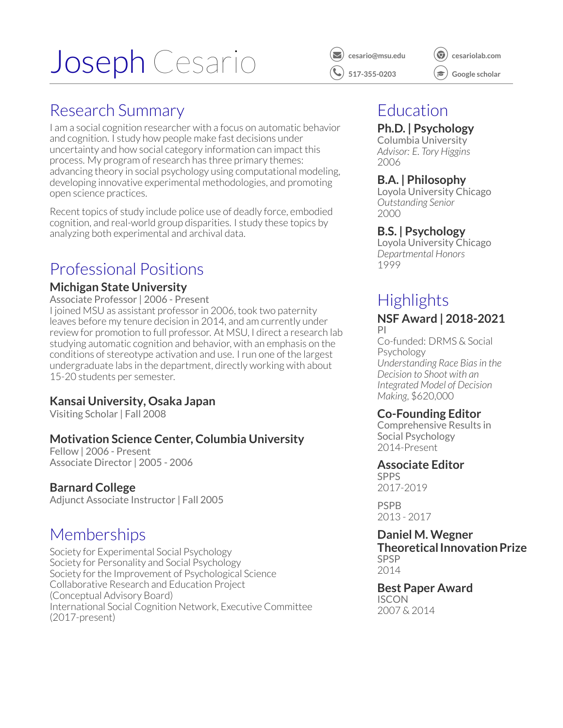# Joseph Cesario *v C* [cesario@msu.edu](mailto:cesario@msu.edu)



*[⃝](http://cesariolab.com)* **[cesariolab.com](http://cesariolab.com)**

*[⃝](https://scholar.google.com/citations?user=ttizi7gAAAAJ&hl=en)* **[Google scholar](https://scholar.google.com/citations?user=ttizi7gAAAAJ&hl=en)**

### Research Summary

I am a social cognition researcher with a focus on automatic behavior and cognition. I study how people make fast decisions under uncertainty and how social category information can impact this process. My program of research has three primary themes: advancing theory in social psychology using computational modeling, developing innovative experimental methodologies, and promoting open science practices.

Recent topics of study include police use of deadly force, embodied cognition, and real-world group disparities. I study these topics by analyzing both experimental and archival data.

### Professional Positions

#### **[Michigan State University](https://psychology.msu.edu/)**

Associate Professor | 2006 - Present

I joined MSU as assistant professor in 2006, took two paternity leaves before my tenure decision in 2014, and am currently under review for promotion to full professor. At MSU, I direct a research lab studying automatic cognition and behavior, with an emphasis on the conditions of stereotype activation and use. Irun one of the largest undergraduate labs in the department, directly working with about 15-20 students per semester.

#### **[Kansai University,](http://www.kansai-u.ac.jp/English/) Osaka Japan**

Visiting Scholar | Fall 2008

#### **[Motivation Science Center, Columbia University](https://www8.gsb.columbia.edu/motivationscience/)**

Fellow | 2006 - Present Associate Director | 2005 - 2006

#### **[Barnard College](https://psychology.barnard.edu/)**

Adjunct Associate Instructor | Fall 2005

### **Memberships**

Society for Experimental Social Psychology Society for Personality and Social Psychology Society for the Improvement of Psychological Science Collaborative Research and Education Project (Conceptual Advisory Board) International Social Cognition Network, Executive Committee (2017-present)

### Education

#### **Ph.D. | Psychology**

Columbia University *Advisor: E. Tory Higgins* 2006

#### **B.A. | Philosophy**

Loyola University Chicago *Outstanding Senior* 2000

#### **B.S. | Psychology**

Loyola University Chicago *Departmental Honors* 1999

### **Highlights NSF Award | 2018-2021**

PI Co-funded: DRMS & Social Psychology *Understanding Race Biasin the Decision to Shoot with an Integrated Model of Decision Making*, \$620,000

#### **Co-Founding Editor**

Comprehensive Results in Social Psychology 2014-Present

#### **Associate Editor**

SPPS 2017-2019

PSPB 2013 - 2017

#### **Daniel M. Wegner Theoretical Innovation Prize** SPSP

2014

#### **Best Paper Award ISCON** 2007 & 2014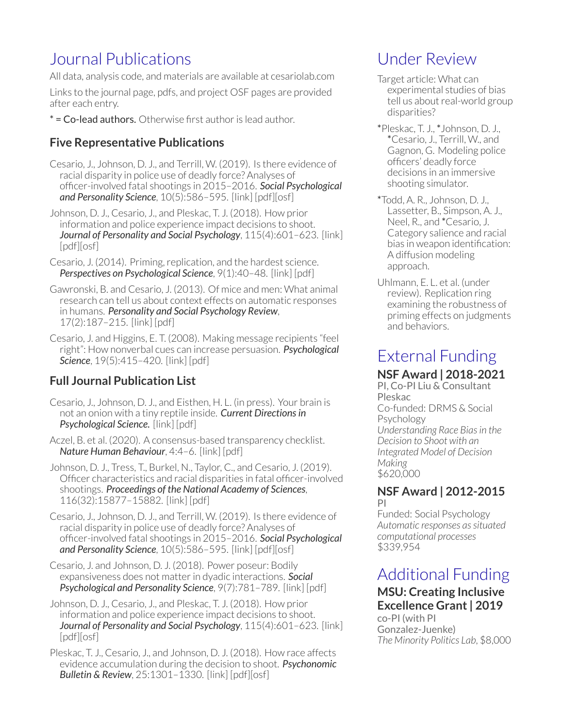### Journal Publications

All data, analysis code, and materials are available at [cesariolab.com](www.cesariolab.com)

Links to the journal page, pdfs, and project OSF pages are provided after each entry.

\* = Co-lead authors. Otherwise first author is lead author.

#### **Five Representative Publications**

- Cesario, J., Johnson, D. J., and Terrill, W. (2019). Is there evidence of racial disparity in police use of deadly force? Analyses of officer-involved fatal shootings in 2015–2016. *Social Psychological and Personality Science*, 10(5):586–595. [\[link\]](https://journals.sagepub.com/doi/full/10.1177/1948550618775108) [\[pdf\]](https://5315b3c7-4fd2-421c-be7a-cbaa4348a7c2.filesusr.com/ugd/b44013_c4617a949c6146ae9125f9e0d44dfc61.pdf)[\[osf\]](https://osf.io/2btyn/)
- Johnson, D. J., Cesario, J., and Pleskac, T. J. (2018). How prior information and police experience impact decisions to shoot. *Journal of Personality and Social Psychology*, 115(4):601–623. [\[link\]](https://psycnet.apa.org/record/2018-45703-001) [\[pdf\]](https://docs.wixstatic.com/ugd/b44013_66b852881e48489fb13e85956d1af923.pdf)[\[osf\]](https://osf.io/9ksf2/)
- Cesario, J. (2014). Priming, replication, and the hardest science. *Perspectives on Psychological Science*, 9(1):40–48. [\[link\]](https://journals.sagepub.com/doi/abs/10.1177/1745691613513470) [\[pdf\]](https://5315b3c7-4fd2-421c-be7a-cbaa4348a7c2.filesusr.com/ugd/b44013_2bda48e5ac8c431695b709ca5d030e1d.pdf)
- Gawronski, B. and Cesario, J. (2013). Of mice and men: What animal research can tell us about context effects on automatic responses in humans. *Personality and Social Psychology Review*, 17(2):187–215. [\[link\]](https://journals.sagepub.com/doi/abs/10.1177/1088868313480096) [\[pdf\]](https://5315b3c7-4fd2-421c-be7a-cbaa4348a7c2.filesusr.com/ugd/b44013_271f0009e07344b28a4548480393283e.pdf)
- Cesario, J. and Higgins, E. T. (2008). Making message recipients "feel right": How nonverbal cues can increase persuasion. *Psychological* **Science**, 19(5):415-420. [\[link\]](https://journals.sagepub.com/doi/abs/10.1111/j.1467-9280.2008.02102.x) [\[pdf\]](https://5315b3c7-4fd2-421c-be7a-cbaa4348a7c2.filesusr.com/ugd/b44013_d86011cf527f43268ab94637eb6d1c78.pdf)

#### **Full Journal Publication List**

- Cesario, J., Johnson, D. J., and Eisthen, H. L. (in press). Your brain is not an onion with a tiny reptile inside. *Current Directionsin Psychological Science.* [\[link\]](https://psyarxiv.com/x83dq/) [\[pdf\]](https://5315b3c7-4fd2-421c-be7a-cbaa4348a7c2.filesusr.com/ugd/b44013_035c76ae42114c619a463691ef4c5d3c.pdf)
- Aczel, B. et al. (2020). A consensus-based transparency checklist. *Nature Human Behaviour*, 4:4–6. [\[link\]](https://www.nature.com/articles/s41562-019-0772-6) [\[pdf\]](https://5315b3c7-4fd2-421c-be7a-cbaa4348a7c2.filesusr.com/ugd/b44013_7af2f4fda0b84d9882a108ff5e6464ef.pdf)
- Johnson, D. J., Tress, T., Burkel, N., Taylor, C., and Cesario, J. (2019). Officer characteristics and racial disparities in fatal officer-involved shootings. *Proceedings of the National Academy of Sciences*, 116(32):15877–15882. [\[link\]](https://www.pnas.org/content/116/32/15877.short) [\[pdf\]](https://5315b3c7-4fd2-421c-be7a-cbaa4348a7c2.filesusr.com/ugd/b44013_38c3acdfb20d440b9db6ccd2060a37d0.pdf)
- Cesario, J., Johnson, D. J., and Terrill, W. (2019). Is there evidence of racial disparity in police use of deadly force? Analyses of officer-involved fatal shootings in 2015–2016. *Social Psychological and Personality Science*, 10(5):586–595. [\[link\]](https://journals.sagepub.com/doi/full/10.1177/1948550618775108) [\[pdf\]](https://5315b3c7-4fd2-421c-be7a-cbaa4348a7c2.filesusr.com/ugd/b44013_c4617a949c6146ae9125f9e0d44dfc61.pdf)[\[osf\]](https://osf.io/2btyn/)
- Cesario, J. and Johnson, D. J. (2018). Power poseur: Bodily expansiveness does not matterin dyadic interactions. *Social Psychological and Personality Science*, 9(7):781–789. [\[link\]](https://journals.sagepub.com/doi/full/10.1177/1948550617725153) [\[pdf\]](https://5315b3c7-4fd2-421c-be7a-cbaa4348a7c2.filesusr.com/ugd/b44013_16d45a41ae8d4d72a7a4fb9f86728892.pdf)
- Johnson, D. J., Cesario, J., and Pleskac, T. J. (2018). How prior information and police experience impact decisions to shoot. *Journal of Personality and Social Psychology*, 115(4):601–623. [\[link\]](https://psycnet.apa.org/record/2018-45703-001) [\[pdf\]](https://docs.wixstatic.com/ugd/b44013_66b852881e48489fb13e85956d1af923.pdf)[\[osf\]](https://osf.io/9ksf2/)
- Pleskac, T. J., Cesario, J., and Johnson, D. J. (2018). How race affects evidence accumulation during the decision to shoot. *Psychonomic Bulletin & Review*, 25:1301–1330. [\[link\]](https://link.springer.com/article/10.3758/s13423-017-1369-6) [\[pdf\]](https://docs.wixstatic.com/ugd/b44013_cf0456b95cb641df9fdec341afe339af.pdf)[\[osf\]](https://osf.io/9qku5/)

### Under Review

- Target article: What can experimental studies of bias tell us about real-world group disparities?
- \*Pleskac, T. J., \*Johnson, D. J., \*Cesario, J., Terrill, W., and Gagnon, G. Modeling police officers' deadly force decisions in an immersive shooting simulator.
- \*Todd, A. R., Johnson, D. J., Lassetter, B., Simpson, A. J., Neel, R., and \*Cesario, J. Category salience and racial bias in weapon identification: A diffusion modeling approach.
- Uhlmann, E. L. et al. (under review). Replication ring examining the robustness of priming effects on judgments and behaviors.

## External Funding

#### **NSF Award | 2018-2021**

PI, Co-PI Liu & Consultant Pleskac Co-funded: DRMS & Social Psychology *Understanding Race Biasin the Decision to Shoot with an Integrated Model of Decision Making* \$620,000

#### **NSF Award | 2012-2015** PI

Funded: Social Psychology *Automatic responses assituated computational processes* \$339,954

### Additional Funding

#### **MSU: Creating Inclusive Excellence Grant | 2019** co-PI (with PI

Gonzalez-Juenke) *The Minority Politics Lab*, \$8,000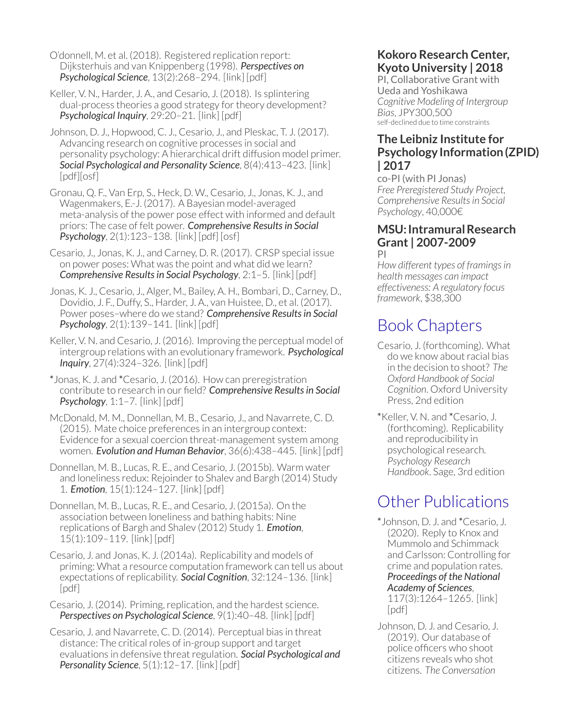O'donnell, M. et al. (2018). Registered replication report: Dijksterhuis and van Knippenberg (1998). *Perspectives on Psychological Science*, 13(2):268–294. [\[link\]](https://journals.sagepub.com/doi/full/10.1177/1745691618755704) [\[pdf\]](https://journals.sagepub.com/doi/pdf/10.1177/1745691618755704)

Keller, V. N., Harder, J. A., and Cesario, J. (2018). Is splintering dual-process theories a good strategy for theory development? *Psychological Inquiry*, 29:20–21. [\[link\]](https://www.tandfonline.com/doi/full/10.1080/1047840X.2018.1435632) [\[pdf\]](https://www.researchgate.net/profile/Joseph_Cesario/publication/323938070_Is_Splintering_Dual-Process_Theories_a_Good_Strategy_for_Theory_Development/links/5b93be744585153a53087ff6/Is-Splintering-Dual-Process-Theories-a-Good-Strategy-for-Theory-Development.pdf)

Johnson, D. J., Hopwood, C. J., Cesario, J., and Pleskac, T. J. (2017). Advancing research on cognitive processes in social and personality psychology: A hierarchical drift diffusion model primer. *Social Psychological and Personality Science*, 8(4):413–423. [\[link\]](https://journals.sagepub.com/doi/abs/10.1177/1948550617703174) [\[pdf\]](https://journals.sagepub.com/doi/pdf/10.1177/1948550617703174)[\[osf\]](https://osf.io/btw5c/)

Gronau, Q. F., Van Erp, S., Heck, D. W., Cesario, J., Jonas, K. J., and Wagenmakers, E.-J. (2017). A Bayesian model-averaged meta-analysis of the power pose effect with informed and default priors: The case of felt power. *Comprehensive Resultsin Social Psychology*, 2(1):123–138. [\[link\]](https://www.tandfonline.com/doi/abs/10.1080/23743603.2017.1326760) [\[pdf\]](https://docs.wixstatic.com/ugd/b44013_996c349c4673450483be2003696a9f5e.pdf) [\[osf\]](https://osf.io/s87rz/)

Cesario, J., Jonas, K. J., and Carney, D. R. (2017). CRSP special issue on power poses: What was the point and what did we learn? *Comprehensive Resultsin Social Psychology*, 2:1–5. [\[link\]](https://www.tandfonline.com/doi/full/10.1080/23743603.2017.1309876) [\[pdf\]](https://docs.wixstatic.com/ugd/b44013_33dafa55053a465881d35a1d13e9040e.pdf)

Jonas, K. J., Cesario, J., Alger, M., Bailey, A. H., Bombari, D., Carney, D., Dovidio, J. F., Duffy, S., Harder, J. A., van Huistee, D., et al. (2017). Power poses-where do we stand? Comprehensive Results in Social *Psychology*, 2(1):139–141. [\[link\]](https://www.tandfonline.com/doi/full/10.1080/23743603.2017.1342447) [\[pdf\]](https://docs.wixstatic.com/ugd/b44013_feb947e5670740c69243d2c71c011424.pdf)

Keller, V. N. and Cesario, J. (2016). Improving the perceptual model of intergroup relations with an evolutionary framework. *Psychological Inquiry*, 27(4):324–326. [\[link\]](https://www.tandfonline.com/doi/full/10.1080/1047840X.2016.1215214) [\[pdf\]](https://www.tandfonline.com/doi/pdf/10.1080/1047840X.2016.1215214?needAccess=true)

\*Jonas, K. J. and \*Cesario, J. (2016). How can preregistration contribute to research in our field? *Comprehensive Resultsin Social Psychology*, 1:1–7. [\[link\]](https://www.tandfonline.com/doi/abs/10.1080/23743603.2015.1070611) [\[pdf\]](https://docs.wixstatic.com/ugd/b44013_96b6e25340a049709011ba918b848f8b.pdf)

McDonald, M. M., Donnellan, M. B., Cesario, J., and Navarrete, C. D. (2015). Mate choice preferences in an intergroup context: Evidence for a sexual coercion threat-management system among women. *Evolution and Human Behavior*, 36(6):438–445. [\[link\]](https://www.sciencedirect.com/science/article/pii/S1090513815000410) [\[pdf\]](https://docs.wixstatic.com/ugd/b44013_e563aec7836a47f88450886aa71288ce.pdf)

Donnellan, M. B., Lucas, R. E., and Cesario, J. (2015b). Warm water and loneliness redux: Rejoinder to Shalev and Bargh (2014) Study 1. *Emotion*, 15(1):124–127. [\[link\]](https://psycnet.apa.org/journals/emo/15/1/124.html?uid=2015-05076-006) [\[pdf\]](https://docs.wixstatic.com/ugd/b44013_456a7737681245088568fb901da64a3a.pdf)

Donnellan, M. B., Lucas, R. E., and Cesario, J. (2015a). On the association between loneliness and bathing habits: Nine replications of Bargh and Shalev (2012) Study 1. *Emotion*, 15(1):109–119. [\[link\]](https://psycnet.apa.org/journals/emo/15/1/109.html?uid=2014-16726-001) [\[pdf\]](https://docs.wixstatic.com/ugd/b44013_f21d1e0277b24dedbe5cebfd903cf014.pdf)

Cesario, J. and Jonas, K. J. (2014a). Replicability and models of priming: What a resource computation framework can tell us about expectations ofreplicability. *Social Cognition*, 32:124–136. [\[link\]](https://guilfordjournals.com/doi/abs/10.1521/soco.2014.32.supp.124) [\[pdf\]](https://guilfordjournals.com/doi/pdfplus/10.1521/soco.2014.32.supp.124)

Cesario, J. (2014). Priming, replication, and the hardest science. *Perspectives on Psychological Science*, 9(1):40–48. [\[link\]](https://journals.sagepub.com/doi/abs/10.1177/1745691613513470) [\[pdf\]](https://5315b3c7-4fd2-421c-be7a-cbaa4348a7c2.filesusr.com/ugd/b44013_2bda48e5ac8c431695b709ca5d030e1d.pdf)

Cesario, J. and Navarrete, C. D. (2014). Perceptual bias in threat distance: The critical roles of in-group support and target evaluations in defensive threatregulation. *Social Psychological and Personality Science*, 5(1):12–17. [\[link\]](https://journals.sagepub.com/doi/abs/10.1177/1948550613485605) [\[pdf\]](https://journals.sagepub.com/doi/pdf/10.1177/1948550613485605)

#### **Kokoro Research Center, Kyoto University | 2018**

PI, Collaborative Grant with Ueda and Yoshikawa *Cognitive Modeling of Intergroup Bias*, JPY300,500 self-declined due to time constraints

#### **The Leibniz Institute for Psychology Information (ZPID) | 2017**

co-PI (with PI Jonas) *Free Preregistered Study Project, Comprehensive Resultsin Social Psychology*, 40,000€

#### **MSU: IntramuralResearch Grant | 2007-2009** PI

*How different types of framingsin health messages can impact effectiveness: A regulatory focus framework*, \$38,300

### Book Chapters

- Cesario, J. (forthcoming). What do we know aboutracial bias in the decision to shoot? *The Oxford Handbook of Social Cognition*. Oxford University Press, 2nd edition
- \*Keller, V. N. and \*Cesario, J. (forthcoming). Replicability and reproducibility in psychological research. *Psychology Research Handbook*. Sage, 3rd edition

### Other Publications

\*Johnson, D. J. and \*Cesario, J. (2020). Reply to Knox and Mummolo and Schimmack and Carlsson: Controlling for crime and population rates. *Proceedings of the National Academy of Sciences*, 117(3):1264–1265. [\[link\]](https://www.pnas.org/content/117/3/1264)

[\[pdf\]](https://5315b3c7-4fd2-421c-be7a-cbaa4348a7c2.filesusr.com/ugd/b44013_86da0e9a4ece4449b1b06166f2723223.pdf) Johnson, D. J. and Cesario, J. (2019). Our database of police officers who shoot citizens reveals who shot citizens. *The [Conversation](https://theconversation.com/our-database-of-police-officers-who-shoot-citizens-reveals-whos-most-likely-to-shoot-119623)*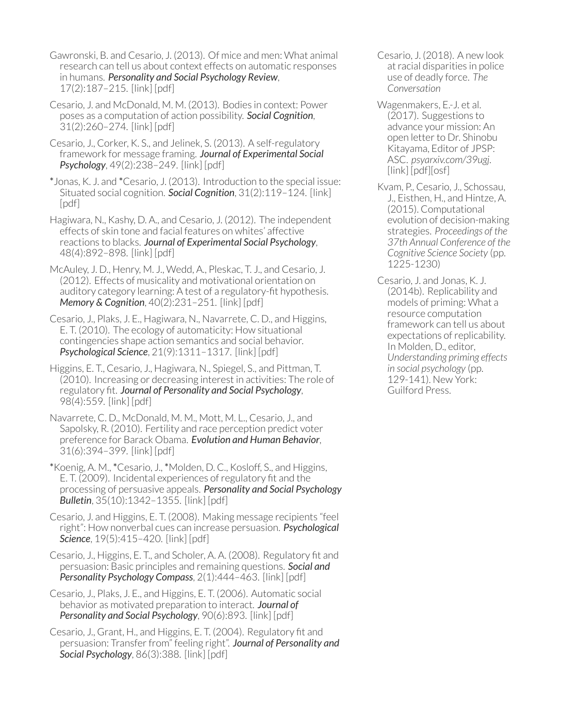- Gawronski, B. and Cesario, J. (2013). Of mice and men: What animal research can tell us about context effects on automatic responses in humans. *Personality and Social Psychology Review*, 17(2):187–215. [\[link\]](https://journals.sagepub.com/doi/abs/10.1177/1088868313480096) [\[pdf\]](https://5315b3c7-4fd2-421c-be7a-cbaa4348a7c2.filesusr.com/ugd/b44013_271f0009e07344b28a4548480393283e.pdf)
- Cesario, J. and McDonald, M. M. (2013). Bodies in context: Power poses as a computation of action possibility. *Social Cognition*, 31(2):260–274. [\[link\]](https://guilfordjournals.com/doi/abs/10.1521/soco.2013.31.2.260) [\[pdf\]](https://guilfordjournals.com/doi/pdfplus/10.1521/soco.2013.31.2.260)
- Cesario, J., Corker, K. S., and Jelinek, S. (2013). A self-regulatory framework for message framing. *Journal of Experimental Social Psychology*, 49(2):238–249. [\[link\]](https://www.sciencedirect.com/science/article/pii/S0022103112002193) [\[pdf\]](https://docs.wixstatic.com/ugd/b44013_392d4f9e3b63478d885ec09fa8c5c68a.pdf)
- \*Jonas, K. J. and \*Cesario, J. (2013). Introduction to the special issue: Situated social cognition. *Social Cognition*, 31(2):119–124. [\[link\]](https://guilfordjournals.com/doi/pdf/10.1521/soco.2013.31.2.119) [\[pdf\]](https://guilfordjournals.com/doi/pdf/10.1521/soco.2013.31.2.119)
- Hagiwara, N., Kashy, D. A., and Cesario, J. (2012). The independent effects of skin tone and facial features on whites' affective reactions to blacks. *Journal of Experimental Social Psychology*, 48(4):892–898. [\[link\]](https://www.sciencedirect.com/science/article/pii/S0022103112000133) [\[pdf\]](https://docs.wixstatic.com/ugd/b44013_87f20c9f559d41c7924bf006e662f5d4.pdf)
- McAuley, J. D., Henry, M. J., Wedd, A., Pleskac, T. J., and Cesario, J. (2012). Effects of musicality and motivational orientation on auditory category learning: A test of a regulatory-fit hypothesis. *Memory & Cognition*, 40(2):231–251. [\[link\]](https://link.springer.com/article/10.3758/s13421-011-0146-4) [\[pdf\]](https://docs.wixstatic.com/ugd/b44013_6e6b6eb7346b4e979bac1724fd9a5228.pdf)
- Cesario, J., Plaks, J. E., Hagiwara, N., Navarrete, C. D., and Higgins, E. T. (2010). The ecology of automaticity: How situational contingencies shape action semantics and social behavior. *Psychological Science*, 21(9):1311–1317. [\[link\]](https://journals.sagepub.com/doi/abs/10.1177/0956797610378685) [\[pdf\]](https://journals.sagepub.com/doi/pdf/10.1177/0956797610378685)
- Higgins, E. T., Cesario, J., Hagiwara, N., Spiegel, S., and Pittman, T. (2010). Increasing or decreasing interest in activities: The role of regulatory fit. *Journal of Personality and Social Psychology*, 98(4):559. [\[link\]](https://psycnet.apa.org/doiLanding?doi=10.1037/a0018833) [\[pdf\]](https://docs.wixstatic.com/ugd/b44013_7aa5cdf801434a10af50fe8228921049.pdf)
- Navarrete, C. D., McDonald, M. M., Mott, M. L., Cesario, J., and Sapolsky, R. (2010). Fertility and race perception predict voter preference for Barack Obama. *Evolution and Human Behavior*, 31(6):394–399. [\[link\]](https://www.sciencedirect.com/science/article/pii/S1090513810000498) [\[pdf\]](https://docs.wixstatic.com/ugd/b44013_70ed349bfa5d4a10bf21e02362c396b2.pdf)
- \*Koenig, A. M., \*Cesario, J., \*Molden, D. C., Kosloff, S., and Higgins, E. T. (2009). Incidental experiences ofregulatory fit and the processing of persuasive appeals. *Personality and Social Psychology Bulletin*, 35(10):1342–1355. [\[link\]](https://journals.sagepub.com/doi/abs/10.1177/0146167209339076) [\[pdf\]](https://journals.sagepub.com/doi/pdf/10.1177/0146167209339076)
- Cesario, J. and Higgins, E. T. (2008). Making message recipients "feel right": How nonverbal cues can increase persuasion. *Psychological* **Science**, 19(5):415–420. [\[link\]](https://journals.sagepub.com/doi/abs/10.1111/j.1467-9280.2008.02102.x) [\[pdf\]](https://5315b3c7-4fd2-421c-be7a-cbaa4348a7c2.filesusr.com/ugd/b44013_d86011cf527f43268ab94637eb6d1c78.pdf)
- Cesario, J., Higgins, E. T., and Scholer, A. A. (2008). Regulatory fit and persuasion: Basic principles and remaining questions. *Social and Personality Psychology Compass*, 2(1):444–463. [\[link\]](https://onlinelibrary.wiley.com/doi/abs/10.1111/j.1751-9004.2007.00055.x) [\[pdf\]](https://5315b3c7-4fd2-421c-be7a-cbaa4348a7c2.filesusr.com/ugd/b44013_57b79189dc5a4d6f8ccc29085d90750c.pdf)
- Cesario, J., Plaks, J. E., and Higgins, E. T. (2006). Automatic social behavior as motivated preparation to interact. *Journal of Personality and Social Psychology*, 90(6):893. [\[link\]](https://psycnet.apa.org/record/2006-07860-002) [\[pdf\]](https://docs.wixstatic.com/ugd/b44013_44d8d9c0a0e5445c9d9dfbbcb470353d.pdf)
- Cesario, J., Grant, H., and Higgins, E. T. (2004). Regulatory fit and persuasion: Transferfrom" feeling right". *Journal of Personality and Social Psychology*, 86(3):388. [\[link\]](https://psycnet.apa.org/record/2004-11359-002) [\[pdf\]](https://docs.wixstatic.com/ugd/b44013_5c073872c97d48a0977f0b615595066c.pdf)
- Cesario, J. (2018). A new look atracial disparities in police use of deadly force. *[The](https://theconversation.com/a-new-look-at-racial-disparities-in-police-use-of-deadly-force-98681) [Conversation](https://theconversation.com/a-new-look-at-racial-disparities-in-police-use-of-deadly-force-98681)*
- Wagenmakers, E.-J. et al. (2017). Suggestions to advance your mission: An open letter to Dr. Shinobu Kitayama, Editor of JPSP: ASC. *psyarxiv.com/39ugj*. [\[link\]](https://psyarxiv.com/39ugj/) [\[pdf\]](https://osf.io/preprints/psyarxiv/39ugj/download)[\[osf\]](https://osf.io/64a75/)
- Kvam, P., Cesario, J., Schossau, J., Eisthen, H., and Hintze, A. (2015). Computational evolution of decision-making strategies. *Proceedings of the 37th Annual Conference of the Cognitive Science Society* (pp. 1225-1230)
- Cesario, J. and Jonas, K. J. (2014b). Replicability and models of priming: What a resource computation framework can tell us about expectations of replicability. In Molden, D., editor, *Understanding priming effects in social psychology* (pp. 129-141). New York: Guilford Press.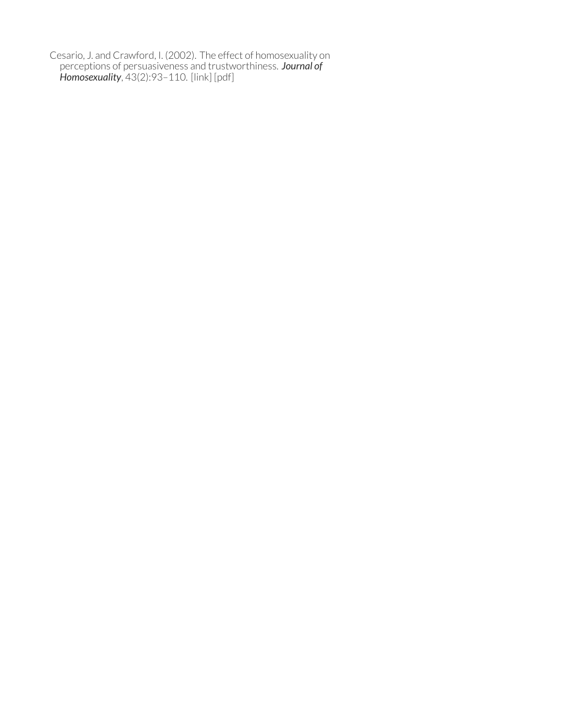Cesario, J. and Crawford, I. (2002). The effect of homosexuality on perceptions of persuasiveness and trustworthiness. *Journal of Homosexuality*, 43(2):93–110. [\[link\]](https://www.tandfonline.com/doi/abs/10.1300/J082v43n02_06) [\[pdf\]](https://www.tandfonline.com/doi/pdf/10.1300/J082v43n02_06)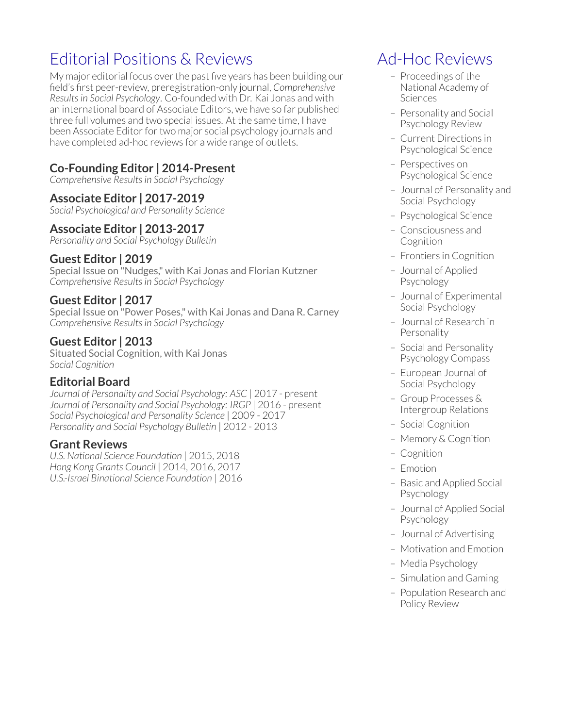### Editorial Positions & Reviews

My major editorial focus over the past five years has been building our field's first peer-review, preregistration-only journal, *[Comprehensive](https://tandfonline.com/loi/rrsp20) Resultsin Social [Psychology](https://tandfonline.com/loi/rrsp20)*. Co-founded with Dr. Kai Jonas and with an international board of Associate Editors, we have so far published three full volumes and two special issues. At the same time, I have been Associate Editor for two major social psychology journals and have completed ad-hoc reviews for a wide range of outlets.

#### **Co-Founding Editor | 2014-Present**

*Comprehensive Resultsin Social Psychology*

#### **Associate Editor | 2017-2019**

*Social Psychological and Personality Science*

#### **Associate Editor | 2013-2017**

*Personality and Social Psychology Bulletin*

#### **Guest Editor | 2019**

Special Issue on "Nudges," with Kai Jonas and Florian Kutzner *Comprehensive Resultsin Social Psychology*

#### **Guest Editor | 2017**

Special Issue on "Power Poses," with Kai Jonas and Dana R. Carney *Comprehensive Resultsin Social Psychology*

#### **Guest Editor | 2013**

Situated Social Cognition, with Kai Jonas *Social Cognition*

#### **Editorial Board**

*Journal of Personality and Social Psychology: ASC* | 2017 - present *Journal of Personality and Social Psychology: IRGP* | 2016 - present *Social Psychological and Personality Science* | 2009 - 2017 *Personality and Social Psychology Bulletin* | 2012 - 2013

#### **Grant Reviews**

*U.S. National Science Foundation* | 2015, 2018 *Hong Kong Grants Council* | 2014, 2016, 2017 *U.S.-Israel Binational Science Foundation* | 2016

### Ad-Hoc Reviews

- Proceedings of the National Academy of **Sciences**
- Personality and Social Psychology Review
- Current Directions in Psychological Science
- Perspectives on Psychological Science
- Journal of Personality and Social Psychology
- Psychological Science
- Consciousness and Cognition
- Frontiers in Cognition
- Journal of Applied Psychology
- Journal of Experimental Social Psychology
- Journal of Research in Personality
- Social and Personality Psychology Compass
- European Journal of Social Psychology
- Group Processes & Intergroup Relations
- Social Cognition
- Memory & Cognition
- Cognition
- Emotion
- Basic and Applied Social Psychology
- Journal of Applied Social Psychology
- Journal of Advertising
- Motivation and Emotion
- Media Psychology
- Simulation and Gaming
- Population Research and Policy Review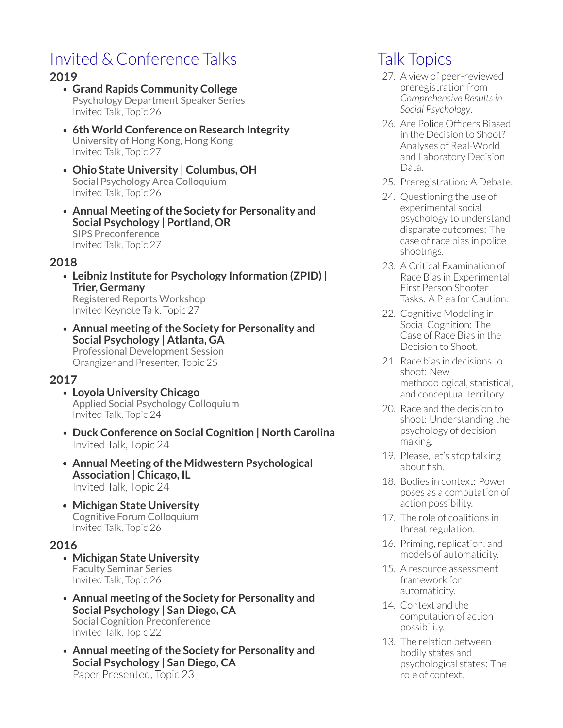### Invited & Conference Talks

#### **2019**

- **Grand Rapids Community College** Psychology Department Speaker Series Invited Talk, Topic 26
- **6th World Conference on Research Integrity** University of Hong Kong, Hong Kong Invited Talk, Topic 27
- **Ohio State University | Columbus, OH** Social Psychology Area Colloquium Invited Talk, Topic 26
- **Annual Meeting of the Society for Personality and Social Psychology | Portland, OR** SIPS Preconference Invited Talk, Topic 27

#### **2018**

- **Leibniz Institute for Psychology Information (ZPID) | Trier, Germany** Registered Reports Workshop Invited Keynote Talk, Topic 27
- **Annual meeting of the Society for Personality and Social Psychology | Atlanta, GA** Professional Development Session Orangizer and Presenter, Topic 25

#### **2017**

- **Loyola University Chicago** Applied Social Psychology Colloquium Invited Talk, Topic 24
- **Duck Conference on Social Cognition | North Carolina** Invited Talk, Topic 24
- **Annual Meeting of the Midwestern Psychological Association | Chicago, IL** Invited Talk, Topic 24
- **Michigan State University** Cognitive Forum Colloquium Invited Talk, Topic 26

#### **2016**

- **Michigan State University** Faculty Seminar Series Invited Talk, Topic 26
- **Annual meeting of the Society for Personality and Social Psychology | San Diego, CA** Social Cognition Preconference Invited Talk, Topic 22
- **Annual meeting of the Society for Personality and Social Psychology | San Diego, CA** Paper Presented, Topic 23

### Talk Topics

- 27. A view of peer-reviewed preregistration from *Comprehensive Resultsin Social Psychology*.
- 26. Are Police Officers Biased in the Decision to Shoot? Analyses of Real-World and Laboratory Decision Data.
- 25. Preregistration: A Debate.
- 24. Questioning the use of experimental social psychology to understand disparate outcomes: The case ofrace bias in police shootings.
- 23. A Critical Examination of Race Bias in Experimental First Person Shooter Tasks: A Plea for Caution.
- 22. Cognitive Modeling in Social Cognition: The Case of Race Bias in the Decision to Shoot.
- 21. Race bias in decisions to shoot: New methodological, statistical, and conceptual territory.
- 20. Race and the decision to shoot: Understanding the psychology of decision making.
- 19. Please, let's stop talking about fish.
- 18. Bodies in context: Power poses as a computation of action possibility.
- 17. The role of coalitions in threat regulation.
- 16. Priming, replication, and models of automaticity.
- 15. A resource assessment framework for automaticity.
- 14. Context and the computation of action possibility.
- 13. The relation between bodily states and psychological states: The role of context.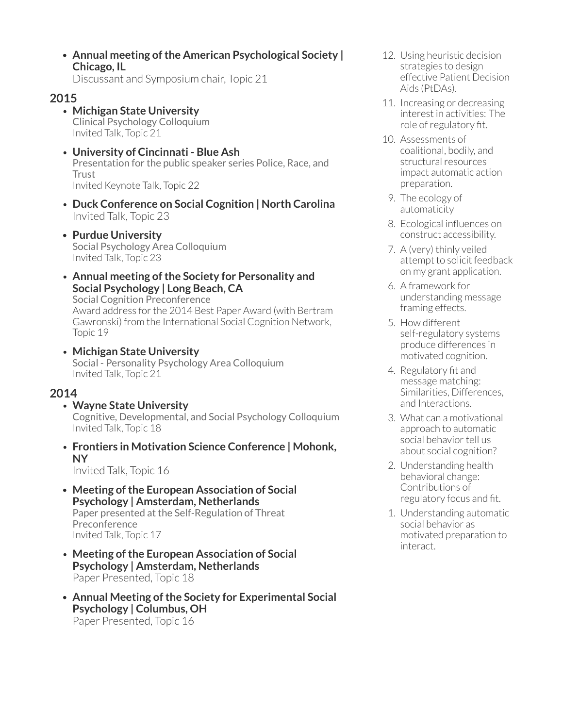• **Annual meeting of the American Psychological Society | Chicago, IL**

Discussant and Symposium chair, Topic 21

#### **2015**

- **Michigan State University** Clinical Psychology Colloquium Invited Talk, Topic 21
- **University of Cincinnati Blue Ash** Presentation for the public speaker series Police, Race, and Trust Invited Keynote Talk, Topic 22
- **Duck Conference on Social Cognition | North Carolina** Invited Talk, Topic 23
- **Purdue University** Social Psychology Area Colloquium Invited Talk, Topic 23
- **Annual meeting of the Society for Personality and Social Psychology | Long Beach, CA** Social Cognition Preconference Award address for the 2014 Best Paper Award (with Bertram Gawronski) from the International Social Cognition Network, Topic 19
- **Michigan State University** Social - Personality Psychology Area Colloquium Invited Talk, Topic 21

#### **2014**

- **Wayne State University** Cognitive, Developmental, and Social Psychology Colloquium Invited Talk, Topic 18
- **Frontiers in Motivation Science Conference | Mohonk, NY**

Invited Talk, Topic 16

- **Meeting of the European Association of Social Psychology | Amsterdam, Netherlands** Paper presented at the Self-Regulation of Threat Preconference Invited Talk, Topic 17
- **Meeting of the European Association of Social Psychology | Amsterdam, Netherlands** Paper Presented, Topic 18
- **Annual Meeting of the Society for Experimental Social Psychology | Columbus, OH** Paper Presented, Topic 16
- 12. Using heuristic decision strategies to design effective Patient Decision Aids (PtDAs).
- 11. Increasing or decreasing interest in activities: The role of regulatory fit.
- 10. Assessments of coalitional, bodily, and structural resources impact automatic action preparation.
- 9. The ecology of automaticity
- 8. Ecological influences on construct accessibility.
- 7. A (very) thinly veiled attempt to solicit feedback on my grant application.
- 6. A framework for understanding message framing effects.
- 5. How different self-regulatory systems produce differences in motivated cognition.
- 4. Regulatory fit and message matching: Similarities, Differences, and Interactions.
- 3. What can a motivational approach to automatic social behavior tell us about social cognition?
- 2. Understanding health behavioral change: Contributions of regulatory focus and fit.
- 1. Understanding automatic social behavior as motivated preparation to interact.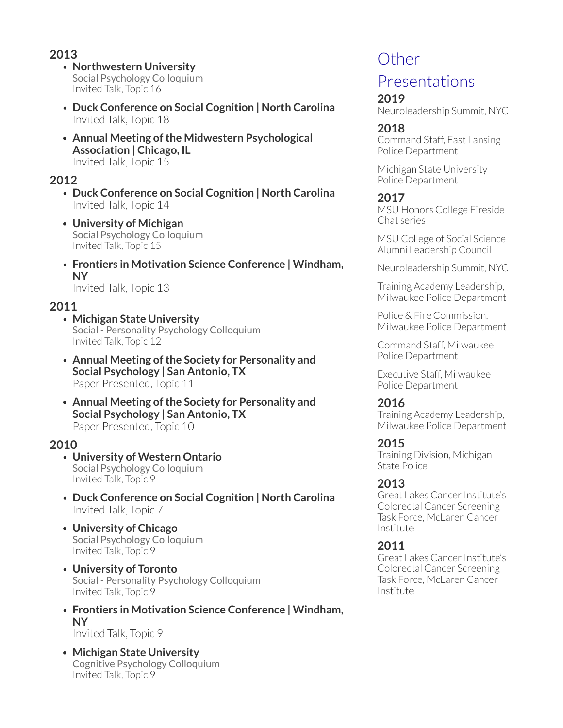#### **2013**

- **Northwestern University** Social Psychology Colloquium Invited Talk, Topic 16
- **Duck Conference on Social Cognition | North Carolina** Invited Talk, Topic 18
- **Annual Meeting of the Midwestern Psychological Association | Chicago, IL** Invited Talk, Topic 15

#### **2012**

- **Duck Conference on Social Cognition | North Carolina** Invited Talk, Topic 14
- **University of Michigan** Social Psychology Colloquium Invited Talk, Topic 15
- **Frontiers in Motivation Science Conference | Windham, NY**

Invited Talk, Topic 13

#### **2011**

- **Michigan State University** Social - Personality Psychology Colloquium Invited Talk, Topic 12
- **Annual Meeting of the Society for Personality and Social Psychology | San Antonio, TX** Paper Presented, Topic 11
- **Annual Meeting of the Society for Personality and Social Psychology | San Antonio, TX** Paper Presented, Topic 10

#### **2010**

- **University of Western Ontario** Social Psychology Colloquium Invited Talk, Topic 9
- **Duck Conference on Social Cognition | North Carolina** Invited Talk, Topic 7
- **University of Chicago** Social Psychology Colloquium Invited Talk, Topic 9
- **University of Toronto** Social - Personality Psychology Colloquium Invited Talk, Topic 9
- **Frontiers in Motivation Science Conference | Windham, NY** Invited Talk, Topic 9
- **Michigan State University** Cognitive Psychology Colloquium Invited Talk, Topic 9

### **Other**

### Presentations

#### **2019**

Neuroleadership Summit, NYC

#### **2018**

Command Staff, East Lansing Police Department

Michigan State University Police Department

#### **2017**

MSU Honors College Fireside Chat series

MSU College of Social Science Alumni Leadership Council

Neuroleadership Summit, NYC

Training Academy Leadership, Milwaukee Police Department

Police & Fire Commission, Milwaukee Police Department

Command Staff, Milwaukee Police Department

Executive Staff, Milwaukee Police Department

#### **2016**

Training Academy Leadership, Milwaukee Police Department

#### **2015**

Training Division, Michigan State Police

#### **2013**

Great Lakes Cancer Institute's Colorectal Cancer Screening Task Force, McLaren Cancer Institute

#### **2011**

Great Lakes Cancer Institute's Colorectal Cancer Screening Task Force, McLaren Cancer Institute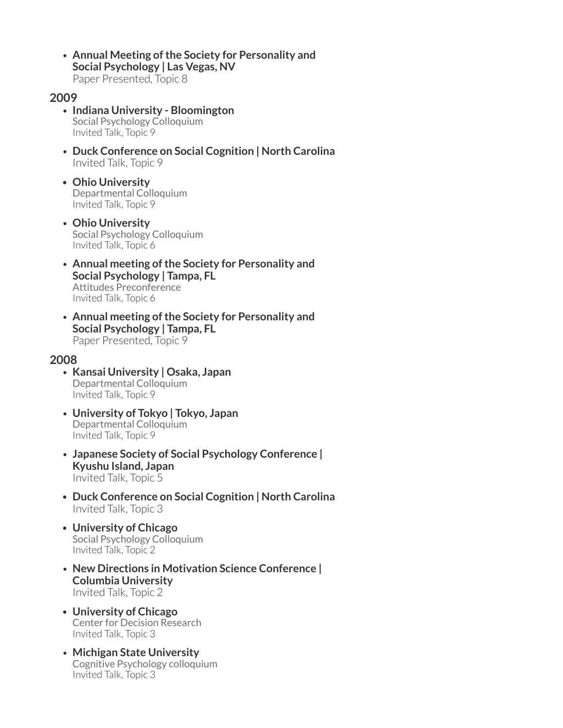• **Annual Meeting of the Society for Personality and Social Psychology | Las Vegas, NV** Paper Presented, Topic 8

#### **2009**

- **Indiana University Bloomington** Social Psychology Colloquium Invited Talk, Topic 9
- **Duck Conference on Social Cognition | North Carolina** Invited Talk, Topic 9
- **Ohio University** Departmental Colloquium Invited Talk, Topic 9
- **Ohio University** Social Psychology Colloquium Invited Talk, Topic 6
- **Annual meeting of the Society for Personality and Social Psychology | Tampa, FL** Attitudes Preconference Invited Talk, Topic 6
- **Annual meeting of the Society for Personality and Social Psychology | Tampa, FL** Paper Presented, Topic 9

#### **2008**

- **Kansai University | Osaka, Japan** Departmental Colloquium Invited Talk, Topic 9
- **University of Tokyo | Tokyo, Japan** Departmental Colloquium Invited Talk, Topic 9
- **Japanese Society of Social Psychology Conference | Kyushu Island, Japan** Invited Talk, Topic 5
- **Duck Conference on Social Cognition | North Carolina** Invited Talk, Topic 3
- **University of Chicago** Social Psychology Colloquium Invited Talk, Topic 2
- **New Directions in Motivation Science Conference | Columbia University** Invited Talk, Topic 2
- **University of Chicago** Center for Decision Research Invited Talk, Topic 3
- **Michigan State University** Cognitive Psychology colloquium Invited Talk, Topic 3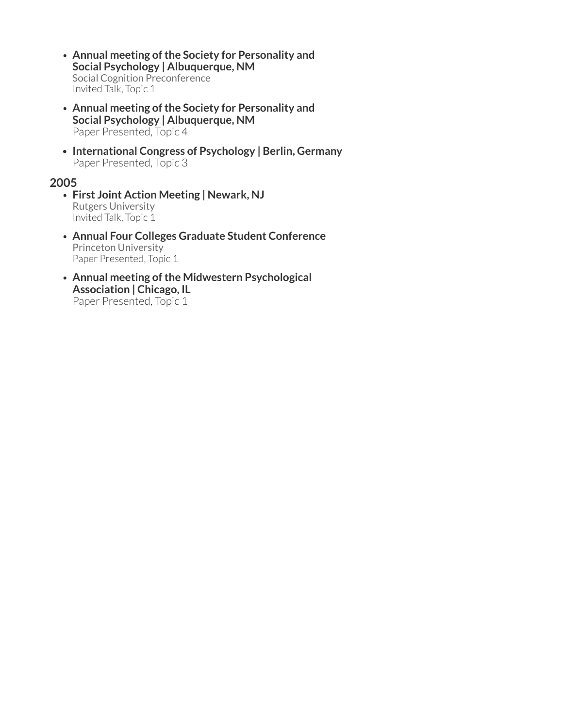- **Annual meeting of the Society for Personality and Social Psychology | Albuquerque, NM** Social Cognition Preconference Invited Talk, Topic 1
- **Annual meeting of the Society for Personality and Social Psychology | Albuquerque, NM** Paper Presented, Topic 4
- **International Congress of Psychology | Berlin, Germany** Paper Presented, Topic 3

#### **2005**

- **First Joint Action Meeting | Newark, NJ** Rutgers University Invited Talk, Topic 1
- **Annual Four Colleges Graduate Student Conference** Princeton University Paper Presented, Topic 1
- **Annual meeting of the Midwestern Psychological Association | Chicago, IL** Paper Presented, Topic 1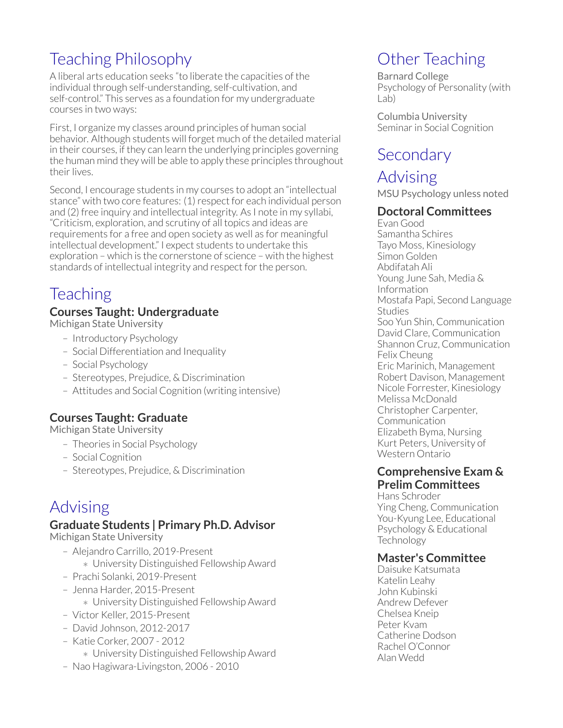### Teaching Philosophy

A liberal arts education seeks "to liberate the capacities of the individual through self-understanding, self-cultivation, and self-control." This serves as a foundation for my undergraduate courses in two ways:

First, I organize my classes around principles of human social behavior. Although students will forget much of the detailed material in their courses, if they can learn the underlying principles governing the human mind they will be able to apply these principles throughout their lives.

Second, I encourage students in my courses to adopt an "intellectual stance" with two core features: (1) respect for each individual person and (2) free inquiry and intellectual integrity. As I note in my syllabi, "Criticism, exploration, and scrutiny of all topics and ideas are requirements for a free and open society as well as for meaningful intellectual development." I expect students to undertake this exploration – which is the cornerstone of science – with the highest standards of intellectual integrity and respect for the person.

### **Teaching**

#### **Courses Taught: Undergraduate**

Michigan State University

- Introductory Psychology
- Social Differentiation and Inequality
- Social Psychology
- Stereotypes, Prejudice, & Discrimination
- Attitudes and Social Cognition (writing intensive)

#### **Courses Taught: Graduate**

Michigan State University

- Theories in Social Psychology
- Social Cognition
- Stereotypes, Prejudice, & Discrimination

### Advising

#### **Graduate Students | Primary Ph.D. Advisor**

Michigan State University

- Alejandro Carrillo, 2019-Present
	- *∗* University Distinguished Fellowship Award
- Prachi Solanki, 2019-Present
- Jenna Harder, 2015-Present
	- *∗* University Distinguished Fellowship Award
- Victor Keller, 2015-Present
- David Johnson, 2012-2017
- Katie Corker, 2007 2012
	- *∗* University Distinguished Fellowship Award
- Nao Hagiwara-Livingston, 2006 2010

### Other Teaching

Barnard College Psychology of Personality (with Lab)

Columbia University Seminar in Social Cognition

### **Secondary**

### Advising

MSU Psychology unless noted

#### **Doctoral Committees**

Evan Good Samantha Schires Tayo Moss, Kinesiology Simon Golden Abdifatah Ali Young June Sah, Media & Information Mostafa Papi, Second Language Studies Soo Yun Shin, Communication David Clare, Communication Shannon Cruz, Communication Felix Cheung Eric Marinich, Management Robert Davison, Management Nicole Forrester, Kinesiology Melissa McDonald Christopher Carpenter, Communication Elizabeth Byma, Nursing Kurt Peters, University of Western Ontario

#### **Comprehensive Exam & Prelim Committees**

Hans Schroder Ying Cheng, Communication You-Kyung Lee, Educational Psychology & Educational **Technology** 

#### **Master's Committee**

Daisuke Katsumata Katelin Leahy John Kubinski Andrew Defever Chelsea Kneip Peter Kvam Catherine Dodson Rachel O'Connor Alan Wedd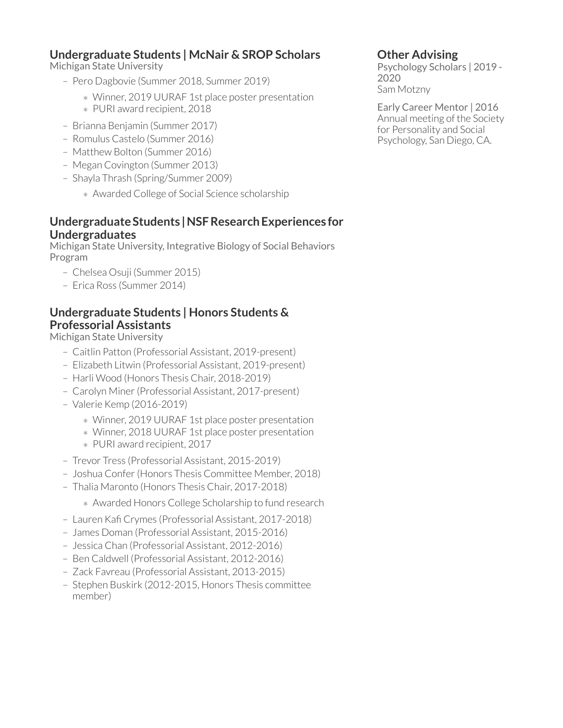#### **Undergraduate Students | McNair & SROP Scholars**

Michigan State University

- Pero Dagbovie (Summer 2018, Summer 2019)
	- *∗* Winner, 2019 UURAF 1st place poster presentation
	- *∗* PURI award recipient, 2018
- Brianna Benjamin (Summer 2017)
- Romulus Castelo (Summer 2016)
- Matthew Bolton (Summer 2016)
- Megan Covington (Summer 2013)
- Shayla Thrash (Spring/Summer 2009)
	- *∗* Awarded College of Social Science scholarship

#### **Undergraduate Students | NSF Research Experiences for Undergraduates**

Michigan State University, Integrative Biology of Social Behaviors Program

- Chelsea Osuji (Summer 2015)
- Erica Ross (Summer 2014)

#### **Undergraduate Students | Honors Students & Professorial Assistants**

Michigan State University

- Caitlin Patton (Professorial Assistant, 2019-present)
- Elizabeth Litwin (Professorial Assistant, 2019-present)
- Harli Wood (Honors Thesis Chair, 2018-2019)
- Carolyn Miner(Professorial Assistant, 2017-present)
- Valerie Kemp (2016-2019)
	- *∗* Winner, 2019 UURAF 1st place poster presentation
	- *∗* Winner, 2018 UURAF 1st place poster presentation
	- *∗* PURI award recipient, 2017
- Trevor Tress (Professorial Assistant, 2015-2019)
- Joshua Confer(Honors Thesis Committee Member, 2018)
- Thalia Maronto (Honors Thesis Chair, 2017-2018)
	- *∗* Awarded Honors College Scholarship to fund research
- Lauren Kafi Crymes (Professorial Assistant, 2017-2018)
- James Doman (Professorial Assistant, 2015-2016)
- Jessica Chan (Professorial Assistant, 2012-2016)
- Ben Caldwell (Professorial Assistant, 2012-2016)
- Zack Favreau (Professorial Assistant, 2013-2015)
- Stephen Buskirk (2012-2015, Honors Thesis committee member)

#### **Other Advising**

Psychology Scholars | 2019 - 2020 Sam Motzny

Early Career Mentor | 2016 Annual meeting of the Society for Personality and Social Psychology, San Diego, CA.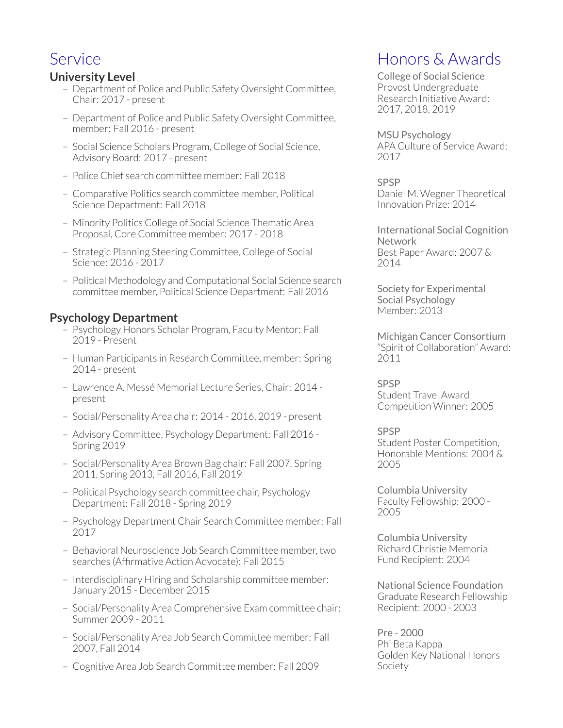### Service

#### **University Level**

- Department of Police and Public Safety Oversight Committee, Chair: 2017 - present
- Department of Police and Public Safety Oversight Committee, member: Fall 2016 - present
- Social Science Scholars Program, College of Social Science, Advisory Board: 2017 - present
- Police Chief search committee member: Fall 2018
- Comparative Politics search committee member, Political Science Department: Fall 2018
- Minority Politics College of Social Science Thematic Area Proposal, Core Committee member: 2017 - 2018
- Strategic Planning Steering Committee, College of Social Science: 2016 - 2017
- Political Methodology and Computational Social Science search committee member, Political Science Department: Fall 2016

#### **Psychology Department**

- Psychology Honors Scholar Program, Faculty Mentor: Fall 2019 - Present
- Human Participants in Research Committee, member: Spring 2014 - present
- Lawrence A. Messé Memorial Lecture Series, Chair: 2014 present
- Social/Personality Area chair: 2014 2016, 2019 present
- Advisory Committee, Psychology Department: Fall 2016 Spring 2019
- Social/Personality Area Brown Bag chair: Fall 2007, Spring 2011, Spring 2013, Fall 2016, Fall 2019
- Political Psychology search committee chair, Psychology Department: Fall 2018 - Spring 2019
- Psychology Department Chair Search Committee member: Fall 2017
- Behavioral Neuroscience Job Search Committee member, two searches (Affirmative Action Advocate): Fall 2015
- Interdisciplinary Hiring and Scholarship committee member: January 2015 - December 2015
- Social/Personality Area Comprehensive Exam committee chair: Summer 2009 - 2011
- Social/Personality Area Job Search Committee member: Fall 2007, Fall 2014
- Cognitive Area Job Search Committee member: Fall 2009

### Honors & Awards

College of Social Science Provost Undergraduate Research Initiative Award: 2017, 2018, 2019

MSU Psychology APA Culture of Service Award: 2017

SPSP Daniel M. Wegner Theoretical Innovation Prize: 2014

International Social Cognition **Network** Best Paper Award: 2007 & 2014

Society for Experimental Social Psychology Member: 2013

Michigan Cancer Consortium "Spirit of Collaboration" Award: 2011

SPSP Student Travel Award Competition Winner: 2005

#### SPSP

Student Poster Competition, Honorable Mentions: 2004 & 2005

Columbia University Faculty Fellowship: 2000 - 2005

Columbia University Richard Christie Memorial Fund Recipient: 2004

National Science Foundation Graduate Research Fellowship Recipient: 2000 - 2003

Pre - 2000 Phi Beta Kappa Golden Key National Honors Society